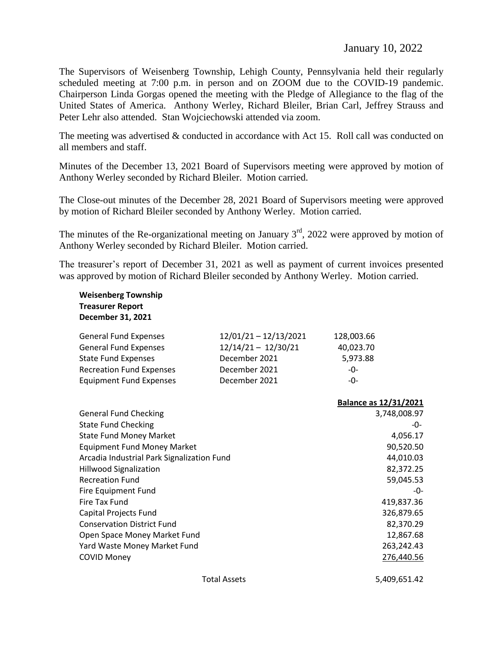The Supervisors of Weisenberg Township, Lehigh County, Pennsylvania held their regularly scheduled meeting at 7:00 p.m. in person and on ZOOM due to the COVID-19 pandemic. Chairperson Linda Gorgas opened the meeting with the Pledge of Allegiance to the flag of the United States of America. Anthony Werley, Richard Bleiler, Brian Carl, Jeffrey Strauss and Peter Lehr also attended. Stan Wojciechowski attended via zoom.

The meeting was advertised & conducted in accordance with Act 15. Roll call was conducted on all members and staff.

Minutes of the December 13, 2021 Board of Supervisors meeting were approved by motion of Anthony Werley seconded by Richard Bleiler. Motion carried.

The Close-out minutes of the December 28, 2021 Board of Supervisors meeting were approved by motion of Richard Bleiler seconded by Anthony Werley. Motion carried.

The minutes of the Re-organizational meeting on January  $3<sup>rd</sup>$ , 2022 were approved by motion of Anthony Werley seconded by Richard Bleiler. Motion carried.

The treasurer's report of December 31, 2021 as well as payment of current invoices presented was approved by motion of Richard Bleiler seconded by Anthony Werley. Motion carried.

| <b>Weisenberg Township</b><br><b>Treasurer Report</b><br>December 31, 2021 |                       |              |                              |
|----------------------------------------------------------------------------|-----------------------|--------------|------------------------------|
| <b>General Fund Expenses</b>                                               | 12/01/21 - 12/13/2021 | 128,003.66   |                              |
| <b>General Fund Expenses</b>                                               | $12/14/21 - 12/30/21$ | 40,023.70    |                              |
| <b>State Fund Expenses</b>                                                 | December 2021         | 5,973.88     |                              |
| <b>Recreation Fund Expenses</b>                                            | December 2021         | -0-          |                              |
| <b>Equipment Fund Expenses</b>                                             | December 2021         | $-0-$        |                              |
|                                                                            |                       |              | <b>Balance as 12/31/2021</b> |
| <b>General Fund Checking</b>                                               |                       |              | 3,748,008.97                 |
| <b>State Fund Checking</b>                                                 |                       |              | -0-                          |
| <b>State Fund Money Market</b>                                             |                       |              | 4,056.17                     |
| <b>Equipment Fund Money Market</b>                                         |                       |              | 90,520.50                    |
| Arcadia Industrial Park Signalization Fund                                 |                       | 44,010.03    |                              |
| <b>Hillwood Signalization</b>                                              |                       |              | 82,372.25                    |
| <b>Recreation Fund</b>                                                     |                       |              | 59,045.53                    |
| Fire Equipment Fund                                                        |                       |              | -0-                          |
| Fire Tax Fund                                                              |                       |              | 419,837.36                   |
| <b>Capital Projects Fund</b>                                               |                       |              | 326,879.65                   |
| <b>Conservation District Fund</b>                                          |                       |              | 82,370.29                    |
| Open Space Money Market Fund                                               |                       |              | 12,867.68                    |
| Yard Waste Money Market Fund                                               |                       |              | 263,242.43                   |
| <b>COVID Money</b>                                                         |                       |              | 276,440.56                   |
| <b>Total Assets</b>                                                        |                       | 5,409,651.42 |                              |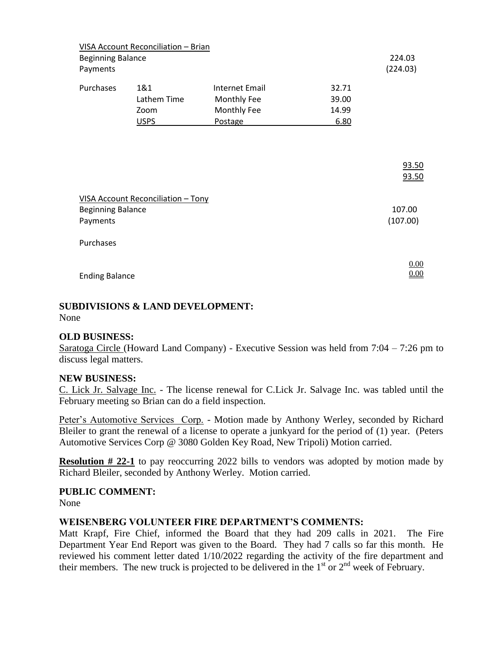| <b>Beginning Balance</b><br>Payments                                              | VISA Account Reconciliation - Brian |                                                         |                                 | 224.03<br>(224.03) |
|-----------------------------------------------------------------------------------|-------------------------------------|---------------------------------------------------------|---------------------------------|--------------------|
| Purchases                                                                         | 1&1<br>Lathem Time<br>Zoom<br>USPS  | Internet Email<br>Monthly Fee<br>Monthly Fee<br>Postage | 32.71<br>39.00<br>14.99<br>6.80 |                    |
|                                                                                   |                                     |                                                         |                                 | 93.50<br>93.50     |
| <b>VISA Account Reconciliation - Tony</b><br><b>Beginning Balance</b><br>Payments |                                     |                                                         |                                 | 107.00<br>(107.00) |
| Purchases                                                                         |                                     |                                                         |                                 |                    |
| <b>Ending Balance</b>                                                             |                                     |                                                         |                                 | 0.00<br>$0.00\,$   |

# **SUBDIVISIONS & LAND DEVELOPMENT:**

None

## **OLD BUSINESS:**

Saratoga Circle (Howard Land Company) - Executive Session was held from 7:04 – 7:26 pm to discuss legal matters.

#### **NEW BUSINESS:**

C. Lick Jr. Salvage Inc. - The license renewal for C.Lick Jr. Salvage Inc. was tabled until the February meeting so Brian can do a field inspection.

Peter's Automotive Services Corp. - Motion made by Anthony Werley, seconded by Richard Bleiler to grant the renewal of a license to operate a junkyard for the period of (1) year. (Peters Automotive Services Corp @ 3080 Golden Key Road, New Tripoli) Motion carried.

**Resolution # 22-1** to pay reoccurring 2022 bills to vendors was adopted by motion made by Richard Bleiler, seconded by Anthony Werley. Motion carried.

#### **PUBLIC COMMENT:**

None

## **WEISENBERG VOLUNTEER FIRE DEPARTMENT'S COMMENTS:**

Matt Krapf, Fire Chief, informed the Board that they had 209 calls in 2021. The Fire Department Year End Report was given to the Board. They had 7 calls so far this month. He reviewed his comment letter dated 1/10/2022 regarding the activity of the fire department and their members. The new truck is projected to be delivered in the  $1<sup>st</sup>$  or  $2<sup>nd</sup>$  week of February.